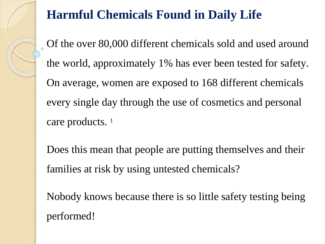## **Harmful Chemicals Found in Daily Life**

Of the over 80,000 different chemicals sold and used around the world, approximately 1% has ever been tested for safety. On average, women are exposed to 168 different chemicals every single day through the use of cosmetics and personal care products. <sup>1</sup>

Does this mean that people are putting themselves and their families at risk by using untested chemicals?

Nobody knows because there is so little safety testing being performed!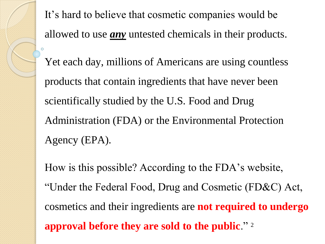It's hard to believe that cosmetic companies would be allowed to use *any* untested chemicals in their products. Yet each day, millions of Americans are using countless products that contain ingredients that have never been scientifically studied by the U.S. Food and Drug Administration (FDA) or the Environmental Protection Agency (EPA).

How is this possible? According to the FDA's website, "Under the Federal Food, Drug and Cosmetic (FD&C) Act, cosmetics and their ingredients are **not required to undergo approval before they are sold to the public**." 2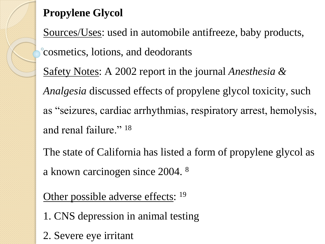## **Propylene Glycol**

Sources/Uses: used in automobile antifreeze, baby products, cosmetics, lotions, and deodorants

Safety Notes: A 2002 report in the journal *Anesthesia & Analgesia* discussed effects of propylene glycol toxicity, such as "seizures, cardiac arrhythmias, respiratory arrest, hemolysis, and renal failure."<sup>18</sup>

The state of California has listed a form of propylene glycol as a known carcinogen since 2004. <sup>8</sup>

Other possible adverse effects: <sup>19</sup>

- 1. CNS depression in animal testing
- 2. Severe eye irritant